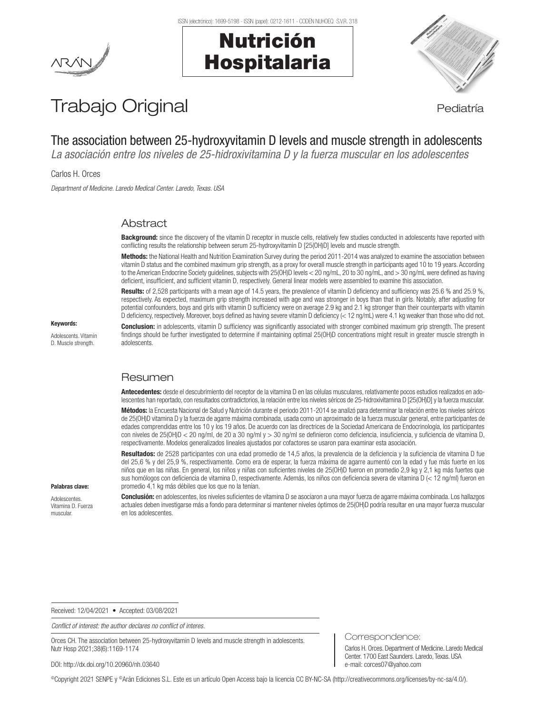# Nutrición Hospitalaria



# Trabajo Original en el estatubación de la pediatría

# The association between 25-hydroxyvitamin D levels and muscle strength in adolescents

*La asociación entre los niveles de 25-hidroxivitamina D y la fuerza muscular en los adolescentes*

Carlos H. Orces

*Department of Medicine. Laredo Medical Center. Laredo, Texas. USA*

# Abstract

Background: since the discovery of the vitamin D receptor in muscle cells, relatively few studies conducted in adolescents have reported with conflicting results the relationship between serum 25-hydroxyvitamin D [25(OH)D] levels and muscle strength.

Methods: the National Health and Nutrition Examination Survey during the period 2011-2014 was analyzed to examine the association between vitamin D status and the combined maximum grip strength, as a proxy for overall muscle strength in participants aged 10 to 19 years. According to the American Endocrine Society guidelines, subjects with 25(OH)D levels < 20 ng/mL, 20 to 30 ng/mL, and > 30 ng/mL were defined as having deficient, insufficient, and sufficient vitamin D, respectively. General linear models were assembled to examine this association.

Results: of 2,528 participants with a mean age of 14.5 years, the prevalence of vitamin D deficiency and sufficiency was 25.6 % and 25.9 %. respectively. As expected, maximum grip strength increased with age and was stronger in boys than that in girls. Notably, after adjusting for potential confounders, boys and girls with vitamin D sufficiency were on average 2.9 kg and 2.1 kg stronger than their counterparts with vitamin D deficiency, respectively. Moreover, boys defined as having severe vitamin D deficiency (< 12 ng/mL) were 4.1 kg weaker than those who did not.

Keywords:

Adolescents. Vitamin D. Muscle strength.

Palabras clave: Adolescentes. Vitamina D. Fuerza muscular.

**Conclusion:** in adolescents, vitamin D sufficiency was significantly associated with stronger combined maximum grip strength. The present findings should be further investigated to determine if maintaining optimal 25(OH)D concentrations might result in greater muscle strength in adolescents.

## Resumen

Antecedentes: desde el descubrimiento del receptor de la vitamina D en las células musculares, relativamente pocos estudios realizados en adolescentes han reportado, con resultados contradictorios, la relación entre los niveles séricos de 25-hidroxivitamina D [25(OH)D] y la fuerza muscular.

Métodos: la Encuesta Nacional de Salud y Nutrición durante el periodo 2011-2014 se analizó para determinar la relación entre los niveles séricos de 25(OH)D vitamina D y la fuerza de agarre máxima combinada, usada como un aproximado de la fuerza muscular general, entre participantes de edades comprendidas entre los 10 y los 19 años. De acuerdo con las directrices de la Sociedad Americana de Endocrinología, los participantes con niveles de 25(OH)D < 20 ng/ml, de 20 a 30 ng/ml y > 30 ng/ml se definieron como deficiencia, insuficiencia, y suficiencia de vitamina D, respectivamente. Modelos generalizados lineales ajustados por cofactores se usaron para examinar esta asociación.

Resultados: de 2528 participantes con una edad promedio de 14,5 años, la prevalencia de la deficiencia y la suficiencia de vitamina D fue del 25,6 % y del 25,9 %, respectivamente. Como era de esperar, la fuerza máxima de agarre aumentó con la edad y fue más fuerte en los niños que en las niñas. En general, los niños y niñas con suficientes niveles de 25(OH)D fueron en promedio 2,9 kg y 2,1 kg más fuertes que sus homólogos con deficiencia de vitamina D, respectivamente. Además, los niños con deficiencia severa de vitamina D (< 12 ng/ml) fueron en promedio 4,1 kg más débiles que los que no la tenían.

Conclusión: en adolescentes, los niveles suficientes de vitamina D se asociaron a una mayor fuerza de agarre máxima combinada. Los hallazgos actuales deben investigarse más a fondo para determinar si mantener niveles óptimos de 25(OH)D podría resultar en una mayor fuerza muscular en los adolescentes.

Received: 12/04/2021 • Accepted: 03/08/2021

*Conflict of interest: the author declares no conflict of interes.*

Orces CH. The association between 25-hydroxyvitamin D levels and muscle strength in adolescents. Nutr Hosp 2021;38(6):1169-1174

DOI: http://dx.doi.org/10.20960/nh.03640

#### Correspondence:

Carlos H. Orces. Department of Medicine. Laredo Medical Center. 1700 East Saunders. Laredo, Texas. USA e-mail: corces07@yahoo.com

©Copyright 2021 SENPE y ©Arán Ediciones S.L. Este es un artículo Open Access bajo la licencia CC BY-NC-SA (http://creativecommons.org/licenses/by-nc-sa/4.0/).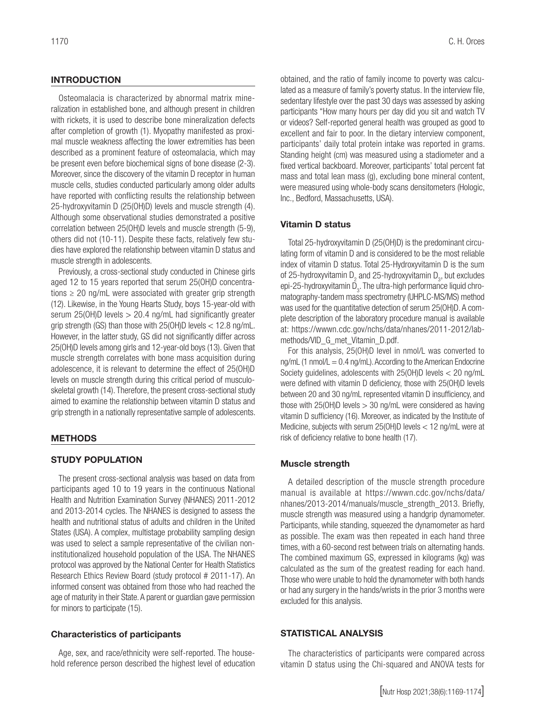### **INTRODUCTION**

Osteomalacia is characterized by abnormal matrix mineralization in established bone, and although present in children with rickets, it is used to describe bone mineralization defects after completion of growth (1). Myopathy manifested as proximal muscle weakness affecting the lower extremities has been described as a prominent feature of osteomalacia, which may be present even before biochemical signs of bone disease (2-3). Moreover, since the discovery of the vitamin D receptor in human muscle cells, studies conducted particularly among older adults have reported with conflicting results the relationship between 25-hydroxyvitamin D (25(OH)D) levels and muscle strength (4). Although some observational studies demonstrated a positive correlation between 25(OH)D levels and muscle strength (5-9), others did not (10-11). Despite these facts, relatively few studies have explored the relationship between vitamin D status and muscle strength in adolescents.

Previously, a cross-sectional study conducted in Chinese girls aged 12 to 15 years reported that serum 25(OH)D concentrations  $\geq$  20 ng/mL were associated with greater grip strength (12). Likewise, in the Young Hearts Study, boys 15-year-old with serum 25(OH)D levels > 20.4 ng/mL had significantly greater grip strength (GS) than those with  $25(OH)D$  levels  $< 12.8$  ng/mL. However, in the latter study, GS did not significantly differ across 25(OH)D levels among girls and 12-year-old boys (13). Given that muscle strength correlates with bone mass acquisition during adolescence, it is relevant to determine the effect of 25(OH)D levels on muscle strength during this critical period of musculoskeletal growth (14). Therefore, the present cross-sectional study aimed to examine the relationship between vitamin D status and grip strength in a nationally representative sample of adolescents.

#### METHODS

#### STUDY POPULATION

The present cross-sectional analysis was based on data from participants aged 10 to 19 years in the continuous National Health and Nutrition Examination Survey (NHANES) 2011-2012 and 2013-2014 cycles. The NHANES is designed to assess the health and nutritional status of adults and children in the United States (USA). A complex, multistage probability sampling design was used to select a sample representative of the civilian noninstitutionalized household population of the USA. The NHANES protocol was approved by the National Center for Health Statistics Research Ethics Review Board (study protocol # 2011-17). An informed consent was obtained from those who had reached the age of maturity in their State. A parent or guardian gave permission for minors to participate (15).

#### Characteristics of participants

Age, sex, and race/ethnicity were self-reported. The household reference person described the highest level of education obtained, and the ratio of family income to poverty was calculated as a measure of family's poverty status. In the interview file, sedentary lifestyle over the past 30 days was assessed by asking participants "How many hours per day did you sit and watch TV or videos? Self-reported general health was grouped as good to excellent and fair to poor. In the dietary interview component, participants' daily total protein intake was reported in grams. Standing height (cm) was measured using a stadiometer and a fixed vertical backboard. Moreover, participants' total percent fat mass and total lean mass (g), excluding bone mineral content, were measured using whole-body scans densitometers (Hologic, Inc., Bedford, Massachusetts, USA).

#### Vitamin D status

Total 25-hydroxyvitamin D (25(OH)D) is the predominant circulating form of vitamin D and is considered to be the most reliable index of vitamin D status. Total 25-Hydroxyvitamin D is the sum of 25-hydroxyvitamin  $D_2$  and 25-hydroxyvitamin  $D_3$ , but excludes epi-25-hydroxyvitamin  $D_3$ . The ultra-high performance liquid chromatography-tandem mass spectrometry (UHPLC-MS/MS) method was used for the quantitative detection of serum 25(OH)D. A complete description of the laboratory procedure manual is available at: https://wwwn.cdc.gov/nchs/data/nhanes/2011-2012/labmethods/VID G met Vitamin D.pdf.

For this analysis, 25(OH)D level in nmol/L was converted to ng/mL (1 nmol/L =  $0.4$  ng/mL). According to the American Endocrine Society guidelines, adolescents with 25(OH)D levels < 20 ng/mL were defined with vitamin D deficiency, those with 25(OH)D levels between 20 and 30 ng/mL represented vitamin D insufficiency, and those with 25(OH)D levels > 30 ng/mL were considered as having vitamin D sufficiency (16). Moreover, as indicated by the Institute of Medicine, subjects with serum 25(OH)D levels < 12 ng/mL were at risk of deficiency relative to bone health (17).

#### Muscle strength

A detailed description of the muscle strength procedure manual is available at https://wwwn.cdc.gov/nchs/data/ nhanes/2013-2014/manuals/muscle\_strength\_2013. Briefly, muscle strength was measured using a handgrip dynamometer. Participants, while standing, squeezed the dynamometer as hard as possible. The exam was then repeated in each hand three times, with a 60-second rest between trials on alternating hands. The combined maximum GS, expressed in kilograms (kg) was calculated as the sum of the greatest reading for each hand. Those who were unable to hold the dynamometer with both hands or had any surgery in the hands/wrists in the prior 3 months were excluded for this analysis.

#### STATISTICAL ANALYSIS

The characteristics of participants were compared across vitamin D status using the Chi-squared and ANOVA tests for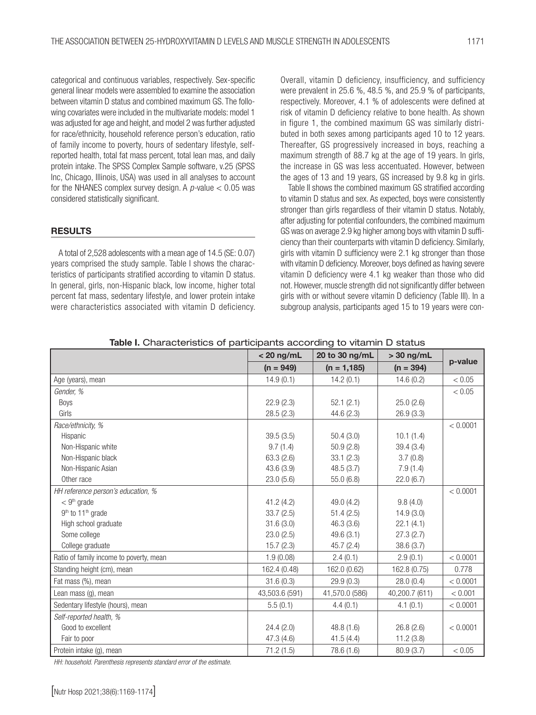categorical and continuous variables, respectively. Sex-specific general linear models were assembled to examine the association between vitamin D status and combined maximum GS. The following covariates were included in the multivariate models: model 1 was adjusted for age and height, and model 2 was further adjusted for race/ethnicity, household reference person's education, ratio of family income to poverty, hours of sedentary lifestyle, selfreported health, total fat mass percent, total lean mas, and daily protein intake. The SPSS Complex Sample software, v.25 (SPSS Inc, Chicago, Illinois, USA) was used in all analyses to account for the NHANES complex survey design. A *p-*value < 0.05 was considered statistically significant.

#### RESULTS

A total of 2,528 adolescents with a mean age of 14.5 (SE: 0.07) years comprised the study sample. Table I shows the characteristics of participants stratified according to vitamin D status. In general, girls, non-Hispanic black, low income, higher total percent fat mass, sedentary lifestyle, and lower protein intake were characteristics associated with vitamin D deficiency. Overall, vitamin D deficiency, insufficiency, and sufficiency were prevalent in 25.6 %, 48.5 %, and 25.9 % of participants, respectively. Moreover, 4.1 % of adolescents were defined at risk of vitamin D deficiency relative to bone health. As shown in figure 1, the combined maximum GS was similarly distributed in both sexes among participants aged 10 to 12 years. Thereafter, GS progressively increased in boys, reaching a maximum strength of 88.7 kg at the age of 19 years. In girls, the increase in GS was less accentuated. However, between the ages of 13 and 19 years, GS increased by 9.8 kg in girls.

Table II shows the combined maximum GS stratified according to vitamin D status and sex. As expected, boys were consistently stronger than girls regardless of their vitamin D status. Notably, after adjusting for potential confounders, the combined maximum GS was on average 2.9 kg higher among boys with vitamin D sufficiency than their counterparts with vitamin D deficiency. Similarly, girls with vitamin D sufficiency were 2.1 kg stronger than those with vitamin D deficiency. Moreover, boys defined as having severe vitamin D deficiency were 4.1 kg weaker than those who did not. However, muscle strength did not significantly differ between girls with or without severe vitamin D deficiency (Table III). In a subgroup analysis, participants aged 15 to 19 years were con-

|                                           | $< 20$ ng/mL   | 20 to 30 ng/mL | $> 30$ ng/mL   |          |
|-------------------------------------------|----------------|----------------|----------------|----------|
|                                           | $(n = 949)$    | $(n = 1, 185)$ | $(n = 394)$    | p-value  |
| Age (years), mean                         | 14.9(0.1)      | 14.2(0.1)      | 14.6(0.2)      | < 0.05   |
| Gender, %                                 |                |                |                | < 0.05   |
| <b>Boys</b>                               | 22.9(2.3)      | 52.1(2.1)      | 25.0(2.6)      |          |
| Girls                                     | 28.5(2.3)      | 44.6 (2.3)     | 26.9(3.3)      |          |
| Race/ethnicity, %                         |                |                |                | < 0.0001 |
| Hispanic                                  | 39.5(3.5)      | 50.4(3.0)      | 10.1(1.4)      |          |
| Non-Hispanic white                        | 9.7(1.4)       | 50.9(2.8)      | 39.4(3.4)      |          |
| Non-Hispanic black                        | 63.3(2.6)      | 33.1(2.3)      | 3.7(0.8)       |          |
| Non-Hispanic Asian                        | 43.6 (3.9)     | 48.5(3.7)      | 7.9(1.4)       |          |
| Other race                                | 23.0(5.6)      | 55.0(6.8)      | 22.0(6.7)      |          |
| HH reference person's education, %        |                |                |                | < 0.0001 |
| $<$ 9 <sup>th</sup> grade                 | 41.2(4.2)      | 49.0 (4.2)     | 9.8(4.0)       |          |
| 9 <sup>th</sup> to 11 <sup>th</sup> grade | 33.7(2.5)      | 51.4(2.5)      | 14.9(3.0)      |          |
| High school graduate                      | 31.6(3.0)      | 46.3(3.6)      | 22.1(4.1)      |          |
| Some college                              | 23.0(2.5)      | 49.6(3.1)      | 27.3(2.7)      |          |
| College graduate                          | 15.7(2.3)      | 45.7(2.4)      | 38.6(3.7)      |          |
| Ratio of family income to poverty, mean   | 1.9(0.08)      | 2.4(0.1)       | 2.9(0.1)       | < 0.0001 |
| Standing height (cm), mean                | 162.4 (0.48)   | 162.0 (0.62)   | 162.8 (0.75)   | 0.778    |
| Fat mass (%), mean                        | 31.6(0.3)      | 29.9(0.3)      | 28.0(0.4)      | < 0.0001 |
| Lean mass (g), mean                       | 43,503.6 (591) | 41,570.0 (586) | 40,200.7 (611) | < 0.001  |
| Sedentary lifestyle (hours), mean         | 5.5(0.1)       | 4.4(0.1)       | 4.1(0.1)       | < 0.0001 |
| Self-reported health, %                   |                |                |                |          |
| Good to excellent                         | 24.4(2.0)      | 48.8 (1.6)     | 26.8(2.6)      | < 0.0001 |
| Fair to poor                              | 47.3 (4.6)     | 41.5(4.4)      | 11.2(3.8)      |          |
| Protein intake (g), mean                  | 71.2(1.5)      | 78.6 (1.6)     | 80.9(3.7)      | < 0.05   |

#### Table I. Characteristics of participants according to vitamin D status

*HH: household. Parenthesis represents standard error of the estimate.*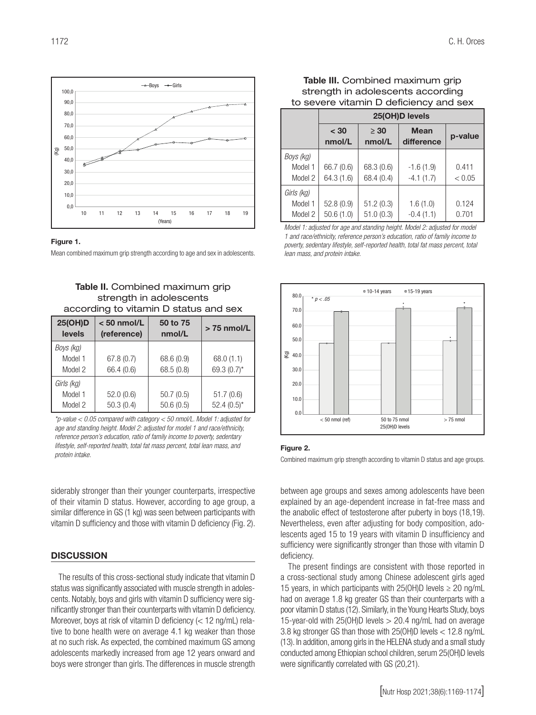

#### Figure 1.

Mean combined maximum grip strength according to age and sex in adolescents.

#### Table II. Combined maximum grip strength in adolescents according to vitamin D status and sex

| <b>25(OH)D</b><br><b>levels</b> | $< 50$ nmol/L<br>(reference) | 50 to 75<br>nmol/L | > 75 nmol/L    |
|---------------------------------|------------------------------|--------------------|----------------|
| Boys (kg)                       |                              |                    |                |
| Model 1                         | 67.8(0.7)                    | 68.6 (0.9)         | 68.0(1.1)      |
| Model 2                         | 66.4 (0.6)                   | 68.5 (0.8)         | 69.3 $(0.7)^*$ |
| Girls (kg)                      |                              |                    |                |
| Model 1                         | 52.0(0.6)                    | 50.7(0.5)          | 51.7(0.6)      |
| Model 2                         | 50.3(0.4)                    | 50.6(0.5)          | $52.4(0.5)^*$  |

*\*p-value < 0.05 compared with category < 50 nmol/L. Model 1: adjusted for age and standing height. Model 2: adjusted for model 1 and race/ethnicity, reference person's education, ratio of family income to poverty, sedentary lifestyle, self-reported health, total fat mass percent, total lean mass, and protein intake.*

siderably stronger than their younger counterparts, irrespective of their vitamin D status. However, according to age group, a similar difference in GS (1 kg) was seen between participants with vitamin D sufficiency and those with vitamin D deficiency (Fig. 2).

#### **DISCUSSION**

The results of this cross-sectional study indicate that vitamin D status was significantly associated with muscle strength in adolescents. Notably, boys and girls with vitamin D sufficiency were significantly stronger than their counterparts with vitamin D deficiency. Moreover, boys at risk of vitamin D deficiency  $\left($  < 12 ng/mL) relative to bone health were on average 4.1 kg weaker than those at no such risk. As expected, the combined maximum GS among adolescents markedly increased from age 12 years onward and boys were stronger than girls. The differences in muscle strength

| Table III. Combined maximum grip       |
|----------------------------------------|
| strength in adolescents according      |
| to severe vitamin D deficiency and sex |

|                                  | 25(OH)D levels           |                          |                            |                 |  |  |
|----------------------------------|--------------------------|--------------------------|----------------------------|-----------------|--|--|
|                                  | $<$ 30<br>nmol/L         | $\geq 30$<br>nmol/L      | <b>Mean</b><br>difference  | p-value         |  |  |
| Boys (kg)<br>Model 1<br>Model 2  | 66.7 (0.6)<br>64.3 (1.6) | 68.3 (0.6)<br>68.4 (0.4) | $-1.6(1.9)$<br>$-4.1(1.7)$ | 0.411<br>< 0.05 |  |  |
| Girls (kg)<br>Model 1<br>Model 2 | 52.8(0.9)<br>50.6(1.0)   | 51.2(0.3)<br>51.0(0.3)   | 1.6(1.0)<br>$-0.4(1.1)$    | 0.124<br>0.701  |  |  |

*Model 1: adjusted for age and standing height. Model 2: adjusted for model 1 and race/ethnicity, reference person's education, ratio of family income to poverty, sedentary lifestyle, self-reported health, total fat mass percent, total lean mass, and protein intake.*



#### Figure 2.

between age groups and sexes among adolescents have been explained by an age-dependent increase in fat-free mass and the anabolic effect of testosterone after puberty in boys (18,19). Nevertheless, even after adjusting for body composition, adolescents aged 15 to 19 years with vitamin D insufficiency and sufficiency were significantly stronger than those with vitamin D deficiency.

The present findings are consistent with those reported in a cross-sectional study among Chinese adolescent girls aged 15 years, in which participants with  $25(OH)D$  levels  $\geq 20$  ng/mL had on average 1.8 kg greater GS than their counterparts with a poor vitamin D status (12). Similarly, in the Young Hearts Study, boys 15-year-old with 25(OH)D levels > 20.4 ng/mL had on average 3.8 kg stronger GS than those with 25(OH)D levels < 12.8 ng/mL (13). In addition, among girls in the HELENA study and a small study conducted among Ethiopian school children, serum 25(OH)D levels were significantly correlated with GS (20,21).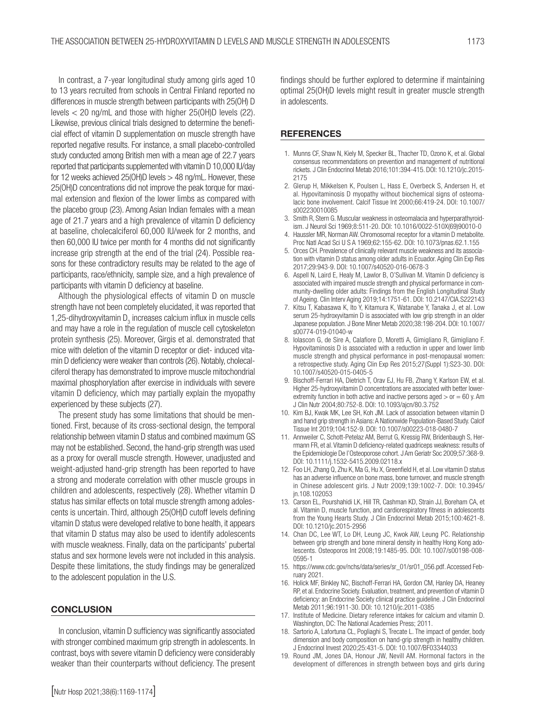In contrast, a 7-year longitudinal study among girls aged 10 to 13 years recruited from schools in Central Finland reported no differences in muscle strength between participants with 25(OH) D levels < 20 ng/mL and those with higher 25(OH)D levels (22). Likewise, previous clinical trials designed to determine the beneficial effect of vitamin D supplementation on muscle strength have reported negative results. For instance, a small placebo-controlled study conducted among British men with a mean age of 22.7 years reported that participants supplemented with vitamin D 10,000 IU/day for 12 weeks achieved 25(OH)D levels > 48 ng/mL. However, these 25(OH)D concentrations did not improve the peak torque for maximal extension and flexion of the lower limbs as compared with the placebo group (23). Among Asian Indian females with a mean age of 21.7 years and a high prevalence of vitamin D deficiency at baseline, cholecalciferol 60,000 IU/week for 2 months, and then 60,000 IU twice per month for 4 months did not significantly increase grip strength at the end of the trial (24). Possible reasons for these contradictory results may be related to the age of participants, race/ethnicity, sample size, and a high prevalence of participants with vitamin D deficiency at baseline.

Although the physiological effects of vitamin D on muscle strength have not been completely elucidated, it was reported that 1,25-dihydroxyvitamin  $D_3$  increases calcium influx in muscle cells and may have a role in the regulation of muscle cell cytoskeleton protein synthesis (25). Moreover, Girgis et al. demonstrated that mice with deletion of the vitamin D receptor or diet- induced vitamin D deficiency were weaker than controls (26). Notably, cholecalciferol therapy has demonstrated to improve muscle mitochondrial maximal phosphorylation after exercise in individuals with severe vitamin D deficiency, which may partially explain the myopathy experienced by these subjects (27).

The present study has some limitations that should be mentioned. First, because of its cross-sectional design, the temporal relationship between vitamin D status and combined maximum GS may not be established. Second, the hand-grip strength was used as a proxy for overall muscle strength. However, unadjusted and weight-adjusted hand-grip strength has been reported to have a strong and moderate correlation with other muscle groups in children and adolescents, respectively (28). Whether vitamin D status has similar effects on total muscle strength among adolescents is uncertain. Third, although 25(OH)D cutoff levels defining vitamin D status were developed relative to bone health, it appears that vitamin D status may also be used to identify adolescents with muscle weakness. Finally, data on the participants' pubertal status and sex hormone levels were not included in this analysis. Despite these limitations, the study findings may be generalized to the adolescent population in the U.S.

#### **CONCLUSION**

In conclusion, vitamin D sufficiency was significantly associated with stronger combined maximum grip strength in adolescents. In contrast, boys with severe vitamin D deficiency were considerably weaker than their counterparts without deficiency. The present findings should be further explored to determine if maintaining optimal 25(OH)D levels might result in greater muscle strength in adolescents.

### **REFERENCES**

- 1. Munns CF, Shaw N, Kiely M, Specker BL, Thacher TD, Ozono K, et al. Global consensus recommendations on prevention and management of nutritional rickets. J Clin Endocrinol Metab 2016;101:394-415. DOI: 10.1210/jc.2015- 2175
- 2. Glerup H, Mikkelsen K, Poulsen L, Hass E, Overbeck S, Andersen H, et al. Hypovitaminosis D myopathy without biochemical signs of osteomalacic bone involvement. Calcif Tissue Int 2000;66:419-24. DOI: 10.1007/ s002230010085
- 3. Smith R, Stern G. Muscular weakness in osteomalacia and hyperparathyroidism. J Neurol Sci 1969;8:511-20. DOI: 10.1016/0022-510X(69)90010-0
- 4. Haussler MR, Norman AW. Chromosomal receptor for a vitamin D metabolite. Proc Natl Acad Sci U S A 1969;62:155-62. DOI: 10.1073/pnas.62.1.155
- 5. Orces CH. Prevalence of clinically relevant muscle weakness and its association with vitamin D status among older adults in Ecuador. Aging Clin Exp Res 2017;29:943-9. DOI: 10.1007/s40520-016-0678-3
- 6. Aspell N, Laird E, Healy M, Lawlor B, O'Sullivan M. Vitamin D deficiency is associated with impaired muscle strength and physical performance in community-dwelling older adults: Findings from the English Longitudinal Study of Ageing. Clin Interv Aging 2019;14:1751-61. DOI: 10.2147/CIA.S222143
- 7. Kitsu T, Kabasawa K, Ito Y, Kitamura K, Watanabe Y, Tanaka J, et al. Low serum 25-hydroxyvitamin D is associated with low grip strength in an older Japanese population. J Bone Miner Metab 2020;38:198-204. DOI: 10.1007/ s00774-019-01040-w
- 8. Iolascon G, de Sire A, Calafiore D, Moretti A, Gimigliano R, Gimigliano F. Hypovitaminosis D is associated with a reduction in upper and lower limb muscle strength and physical performance in post-menopausal women: a retrospective study. Aging Clin Exp Res 2015;27(Suppl 1):S23-30. DOI: 10.1007/s40520-015-0405-5
- 9. Bischoff-Ferrari HA, Dietrich T, Orav EJ, Hu FB, Zhang Y, Karlson EW, et al. Higher 25-hydroxyvitamin D concentrations are associated with better lowerextremity function in both active and inactive persons aged  $>$  or  $= 60$  y. Am J Clin Nutr 2004;80:752-8. DOI: 10.1093/ajcn/80.3.752
- 10. Kim BJ, Kwak MK, Lee SH, Koh JM. Lack of association between vitamin D and hand grip strength in Asians: A Nationwide Population-Based Study. Calcif Tissue Int 2019;104:152-9. DOI: 10.1007/s00223-018-0480-7
- 11. Annweiler C, Schott-Petelaz AM, Berrut G, Kressig RW, Bridenbaugh S, Herrmann FR, et al. Vitamin D deficiency-related quadriceps weakness: results of the Epidemiologie De l'Osteoporose cohort. J Am Geriatr Soc 2009;57:368-9. DOI: 10.1111/j.1532-5415.2009.02118.x
- 12. Foo LH, Zhang Q, Zhu K, Ma G, Hu X, Greenfield H, et al. Low vitamin D status has an adverse influence on bone mass, bone turnover, and muscle strength in Chinese adolescent girls. J Nutr 2009;139:1002-7. DOI: 10.3945/ jn.108.102053
- 13. Carson EL, Pourshahidi LK, Hill TR, Cashman KD, Strain JJ, Boreham CA, et al. Vitamin D, muscle function, and cardiorespiratory fitness in adolescents from the Young Hearts Study. J Clin Endocrinol Metab 2015;100:4621-8. DOI: 10.1210/jc.2015-2956
- 14. Chan DC, Lee WT, Lo DH, Leung JC, Kwok AW, Leung PC. Relationship between grip strength and bone mineral density in healthy Hong Kong adolescents. Osteoporos Int 2008;19:1485-95. DOI: 10.1007/s00198-008- 0595-1
- 15. https://www.cdc.gov/nchs/data/series/sr\_01/sr01\_056.pdf. Accessed February 2021.
- 16. Holick MF, Binkley NC, Bischoff-Ferrari HA, Gordon CM, Hanley DA, Heaney RP, et al. Endocrine Society. Evaluation, treatment, and prevention of vitamin D deficiency: an Endocrine Society clinical practice guideline. J Clin Endocrinol Metab 2011;96:1911-30. DOI: 10.1210/jc.2011-0385
- 17. Institute of Medicine. Dietary reference intakes for calcium and vitamin D. Washington, DC: The National Academies Press; 2011.
- 18. Sartorio A, Lafortuna CL, Pogliaghi S, Trecate L. The impact of gender, body dimension and body composition on hand-grip strength in healthy children. J Endocrinol Invest 2020;25:431-5. DOI: 10.1007/BF03344033
- 19. Round JM, Jones DA, Honour JW, Nevill AM. Hormonal factors in the development of differences in strength between boys and girls during